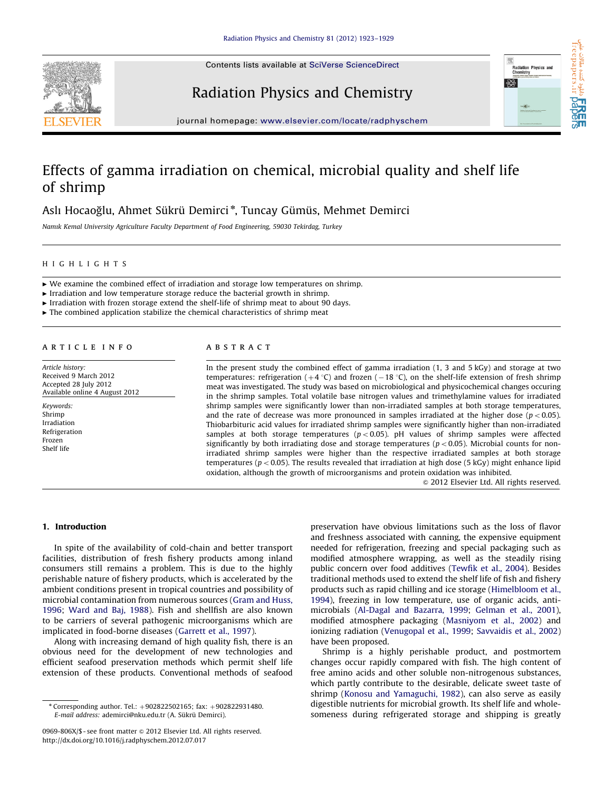

Contents lists available at [SciVerse ScienceDirect](www.elsevier.com/locate/radphyschem)

# Radiation Physics and Chemistry



s مقالات علم<br>freepapers.ir

كننده

옚

journal homepage: <www.elsevier.com/locate/radphyschem>

## Effects of gamma irradiation on chemical, microbial quality and shelf life of shrimp

## Aslı Hocaoğlu, Ahmet Sükrü Demirci\*, Tuncay Gümüs, Mehmet Demirci

Namık Kemal University Agriculture Faculty Department of Food Engineering, 59030 Tekirdag, Turkey

## HIGHLIGHTS

 $\triangleright$  We examine the combined effect of irradiation and storage low temperatures on shrimp.

 $\blacktriangleright$  Irradiation and low temperature storage reduce the bacterial growth in shrimp.

 $\blacktriangleright$  Irradiation with frozen storage extend the shelf-life of shrimp meat to about 90 days.

 $\blacktriangleright$  The combined application stabilize the chemical characteristics of shrimp meat

### article info

Article history: Received 9 March 2012 Accepted 28 July 2012 Available online 4 August 2012

Keywords: Shrimp Irradiation Refrigeration Frozen Shelf life

## ABSTRACT

In the present study the combined effect of gamma irradiation (1, 3 and 5 kGy) and storage at two temperatures: refrigeration  $(+4 \degree C)$  and frozen  $(-18 \degree C)$ , on the shelf-life extension of fresh shrimp meat was investigated. The study was based on microbiological and physicochemical changes occuring in the shrimp samples. Total volatile base nitrogen values and trimethylamine values for irradiated shrimp samples were significantly lower than non-irradiated samples at both storage temperatures, and the rate of decrease was more pronounced in samples irradiated at the higher dose ( $p < 0.05$ ). Thiobarbituric acid values for irradiated shrimp samples were significantly higher than non-irradiated samples at both storage temperatures ( $p < 0.05$ ). pH values of shrimp samples were affected significantly by both irradiating dose and storage temperatures ( $p < 0.05$ ). Microbial counts for nonirradiated shrimp samples were higher than the respective irradiated samples at both storage temperatures ( $p < 0.05$ ). The results revealed that irradiation at high dose (5 kGy) might enhance lipid oxidation, although the growth of microorganisms and protein oxidation was inhibited.

 $\odot$  2012 Elsevier Ltd. All rights reserved.

### 1. Introduction

In spite of the availability of cold-chain and better transport facilities, distribution of fresh fishery products among inland consumers still remains a problem. This is due to the highly perishable nature of fishery products, which is accelerated by the ambient conditions present in tropical countries and possibility of microbial contamination from numerous sources ([Gram and Huss,](#page-6-0) [1996;](#page-6-0) [Ward and Baj, 1988](#page-6-0)). Fish and shellfish are also known to be carriers of several pathogenic microorganisms which are implicated in food-borne diseases ([Garrett et al., 1997](#page-6-0)).

Along with increasing demand of high quality fish, there is an obvious need for the development of new technologies and efficient seafood preservation methods which permit shelf life extension of these products. Conventional methods of seafood preservation have obvious limitations such as the loss of flavor and freshness associated with canning, the expensive equipment needed for refrigeration, freezing and special packaging such as modified atmosphere wrapping, as well as the steadily rising public concern over food additives [\(Tewfik et al., 2004\)](#page-6-0). Besides traditional methods used to extend the shelf life of fish and fishery products such as rapid chilling and ice storage ([Himelbloom et al.,](#page-6-0) [1994\)](#page-6-0), freezing in low temperature, use of organic acids, antimicrobials ([Al-Dagal and Bazarra, 1999](#page-5-0); [Gelman et al., 2001\)](#page-6-0), modified atmosphere packaging [\(Masniyom et al., 2002](#page-6-0)) and ionizing radiation ([Venugopal et al., 1999](#page-6-0); [Savvaidis et al., 2002\)](#page-6-0) have been proposed.

Shrimp is a highly perishable product, and postmortem changes occur rapidly compared with fish. The high content of free amino acids and other soluble non-nitrogenous substances, which partly contribute to the desirable, delicate sweet taste of shrimp [\(Konosu and Yamaguchi, 1982\)](#page-6-0), can also serve as easily digestible nutrients for microbial growth. Its shelf life and wholesomeness during refrigerated storage and shipping is greatly

 $*$  Corresponding author. Tel.:  $+902822502165$ ; fax:  $+902822931480$ . E-mail address: ademirci@nku.edu.tr (A. Sükrü [Demirci\)](mailto:ademirci@nku.edu.tr).

<sup>0969-806</sup>X/\$ - see front matter @ 2012 Elsevier Ltd. All rights reserved. [http://dx.doi.org/10.1016/j.radphyschem.2012.07.017](dx.doi.org/10.1016/j.radphyschem.2012.07.017)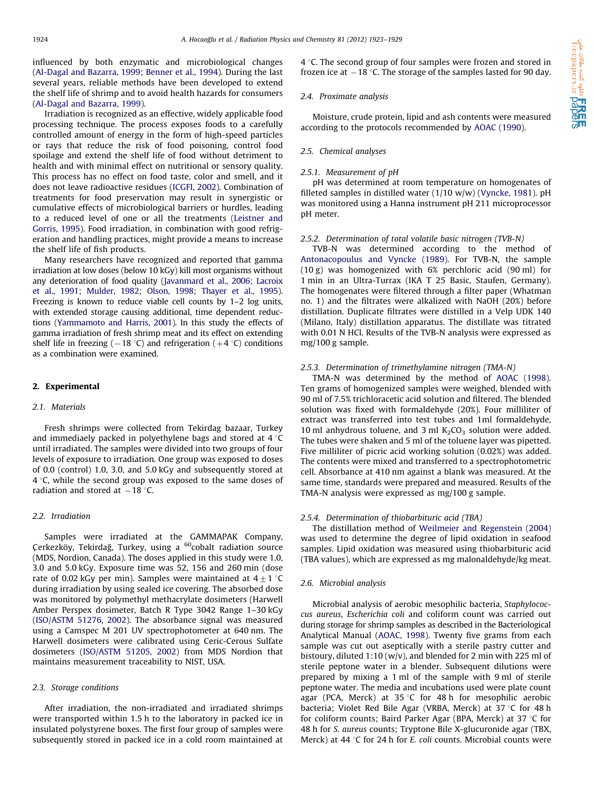influenced by both enzymatic and microbiological changes ([Al-Dagal and Bazarra, 1999;](#page-5-0) [Benner et al., 1994\)](#page-5-0). During the last several years, reliable methods have been developed to extend the shelf life of shrimp and to avoid health hazards for consumers ([Al-Dagal and Bazarra, 1999](#page-5-0)).

Irradiation is recognized as an effective, widely applicable food processing technique. The process exposes foods to a carefully controlled amount of energy in the form of high-speed particles or rays that reduce the risk of food poisoning, control food spoilage and extend the shelf life of food without detriment to health and with minimal effect on nutritional or sensory quality. This process has no effect on food taste, color and smell, and it does not leave radioactive residues [\(ICGFI, 2002\)](#page-6-0). Combination of treatments for food preservation may result in synergistic or cumulative effects of microbiological barriers or hurdles, leading to a reduced level of one or all the treatments ([Leistner and](#page-6-0) [Gorris, 1995](#page-6-0)). Food irradiation, in combination with good refrigeration and handling practices, might provide a means to increase the shelf life of fish products.

Many researchers have recognized and reported that gamma irradiation at low doses (below 10 kGy) kill most organisms without any deterioration of food quality ([Javanmard et al., 2006;](#page-6-0) [Lacroix](#page-6-0) [et al., 1991;](#page-6-0) [Mulder, 1982;](#page-6-0) [Olson, 1998](#page-6-0); [Thayer et al., 1995\)](#page-6-0). Freezing is known to reduce viable cell counts by 1–2 log units, with extended storage causing additional, time dependent reductions [\(Yammamoto and Harris, 2001\)](#page-6-0). In this study the effects of gamma irradiation of fresh shrimp meat and its effect on extending shelf life in freezing ( $-18$  °C) and refrigeration ( $+4$  °C) conditions as a combination were examined.

## 2. Experimental

#### 2.1 Materials

Fresh shrimps were collected from Tekirdag bazaar, Turkey and immediaely packed in polyethylene bags and stored at  $4^{\circ}$ C until irradiated. The samples were divided into two groups of four levels of exposure to irradiation. One group was exposed to doses of 0.0 (control) 1.0, 3.0, and 5.0 kGy and subsequently stored at  $4^{\circ}$ C, while the second group was exposed to the same doses of radiation and stored at  $-18$  °C.

#### 2.2. Irradiation

Samples were irradiated at the GAMMAPAK Company, Cerkezköy, Tekirdağ, Turkey, using a <sup>60</sup>cobalt radiation source (MDS, Nordion, Canada). The doses applied in this study were 1.0, 3.0 and 5.0 kGy. Exposure time was 52, 156 and 260 min (dose rate of 0.02 kGy per min). Samples were maintained at  $4\pm 1$  °C during irradiation by using sealed ice covering. The absorbed dose was monitored by polymethyl methacrylate dosimeters (Harwell Amber Perspex dosimeter, Batch R Type 3042 Range 1–30 kGy ([ISO/ASTM 51276, 2002\)](#page-6-0). The absorbance signal was measured using a Camspec M 201 UV spectrophotometer at 640 nm. The Harwell dosimeters were calibrated using Ceric-Cerous Sulfate dosimeters [\(ISO/ASTM 51205, 2002\)](#page-6-0) from MDS Nordion that maintains measurement traceability to NIST, USA.

#### 2.3. Storage conditions

After irradiation, the non-irradiated and irradiated shrimps were transported within 1.5 h to the laboratory in packed ice in insulated polystyrene boxes. The first four group of samples were subsequently stored in packed ice in a cold room maintained at  $4^{\circ}$ C. The second group of four samples were frozen and stored in frozen ice at  $-18$  °C. The storage of the samples lasted for 90 day.

#### 2.4. Proximate analysis

Moisture, crude protein, lipid and ash contents were measured according to the protocols recommended by [AOAC \(1990\)](#page-5-0).

#### 2.5. Chemical analyses

### 2.5.1. Measurement of pH

pH was determined at room temperature on homogenates of filleted samples in distilled water (1/10 w/w) [\(Vyncke, 1981\)](#page-6-0). pH was monitored using a Hanna instrument pH 211 microprocessor pH meter.

#### 2.5.2. Determination of total volatile basic nitrogen (TVB-N)

TVB-N was determined according to the method of [Antonacopoulus and Vyncke \(1989\).](#page-5-0) For TVB-N, the sample (10 g) was homogenized with 6% perchloric acid (90 ml) for 1 min in an Ultra-Turrax (IKA T 25 Basic, Staufen, Germany). The homogenates were filtered through a filter paper (Whatman no. 1) and the filtrates were alkalized with NaOH (20%) before distillation. Duplicate filtrates were distilled in a Velp UDK 140 (Milano, Italy) distillation apparatus. The distillate was titrated with 0.01 N HCl. Results of the TVB-N analysis were expressed as mg/100 g sample.

#### 2.5.3. Determination of trimethylamine nitrogen (TMA-N)

TMA-N was determined by the method of [AOAC \(1998\).](#page-5-0) Ten grams of homogenized samples were weighed, blended with 90 ml of 7.5% trichloracetic acid solution and filtered. The blended solution was fixed with formaldehyde (20%). Four milliliter of extract was transferred into test tubes and 1ml formaldehyde, 10 ml anhydrous toluene, and 3 ml  $K_2CO_3$  solution were added. The tubes were shaken and 5 ml of the toluene layer was pipetted. Five milliliter of picric acid working solution (0.02%) was added. The contents were mixed and transferred to a spectrophotometric cell. Absorbance at 410 nm against a blank was measured. At the same time, standards were prepared and measured. Results of the TMA-N analysis were expressed as mg/100 g sample.

#### 2.5.4. Determination of thiobarbituric acid (TBA)

The distillation method of [Weilmeier and Regenstein \(2004\)](#page-6-0) was used to determine the degree of lipid oxidation in seafood samples. Lipid oxidation was measured using thiobarbituric acid (TBA values), which are expressed as mg malonaldehyde/kg meat.

#### 2.6. Microbial analysis

Microbial analysis of aerobic mesophilic bacteria, Staphylococcus aureus, Escherichia coli and coliform count was carried out during storage for shrimp samples as described in the Bacteriological Analytical Manual ([AOAC, 1998](#page-5-0)). Twenty five grams from each sample was cut out aseptically with a sterile pastry cutter and bistoury, diluted 1:10 (w/v), and blended for 2 min with 225 ml of sterile peptone water in a blender. Subsequent dilutions were prepared by mixing a 1 ml of the sample with 9 ml of sterile peptone water. The media and incubations used were plate count agar (PCA, Merck) at 35  $\degree$ C for 48 h for mesophilic aerobic bacteria; Violet Red Bile Agar (VRBA, Merck) at  $37^{\circ}$ C for 48 h for coliform counts; Baird Parker Agar (BPA, Merck) at 37  $\degree$ C for 48 h for S. aureus counts; Tryptone Bile X-glucuronide agar (TBX, Merck) at 44  $\degree$ C for 24 h for *E. coli* counts. Microbial counts were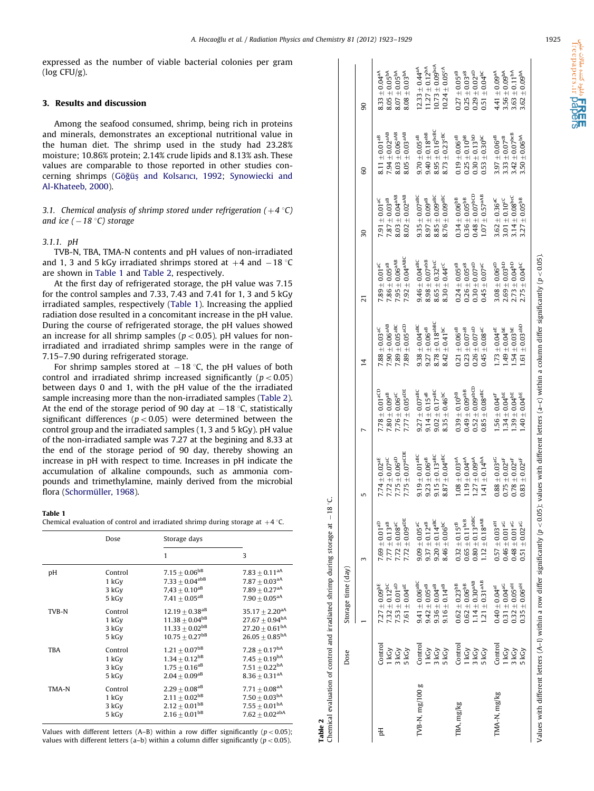<span id="page-2-0"></span>expressed as the number of viable bacterial colonies per gram (log CFU/g).

## 3. Results and discussion

Among the seafood consumed, shrimp, being rich in proteins and minerals, demonstrates an exceptional nutritional value in the human diet. The shrimp used in the study had 23.28% moisture; 10.86% protein; 2.14% crude lipids and 8.13% ash. These values are comparable to those reported in other studies con-cerning shrimps [\(G](#page-6-0)öğüş [and Kolsarıcı, 1992;](#page-6-0) [Synowiecki and](#page-6-0) [Al-Khateeb, 2000\)](#page-6-0).

3.1. Chemical analysis of shrimp stored under refrigeration  $(+4 \degree C)$ and ice ( – 18 °C) storage

## 3.1.1. pH

TVB-N, TBA, TMA-N contents and pH values of non-irradiated and 1, 3 and 5 kGy irradiated shrimps stored at  $+4$  and  $-18$  °C are shown in Table 1 and Table 2, respectively.

At the first day of refrigerated storage, the pH value was 7.15 for the control samples and 7.33, 7.43 and 7.41 for 1, 3 and 5 kGy irradiated samples, respectively (Table 1). Increasing the applied radiation dose resulted in a concomitant increase in the pH value. During the course of refrigerated storage, the pH values showed an increase for all shrimp samples ( $p < 0.05$ ). pH values for nonirradiated and irradiated shrimp samples were in the range of 7.15–7.90 during refrigerated storage.

For shrimp samples stored at  $-18$  °C, the pH values of both control and irradiated shrimp increased significantly ( $p < 0.05$ ) between days 0 and 1, with the pH value of the the irradiated sample increasing more than the non-irradiated samples (Table 2). At the end of the storage period of 90 day at  $-18$  °C, statistically significant differences ( $p < 0.05$ ) were determined between the control group and the irradiated samples (1, 3 and 5 kGy). pH value of the non-irradiated sample was 7.27 at the begining and 8.33 at the end of the storage period of 90 day, thereby showing an increase in pH with respect to time. Increases in pH indicate the accumulation of alkaline compounds, such as ammonia compounds and trimethylamine, mainly derived from the microbial flora (Schormüller, 1968).

#### Table 1

Chemical evaluation of control and irradiated shrimp during storage at  $+4$  °C.

|            | Dose    | Storage days                   |                                |
|------------|---------|--------------------------------|--------------------------------|
|            |         | 1                              | 3                              |
| pH         | Control | $7.15\pm0.06^\mathrm{bB}$      | $7.83 + 0.11$ <sup>aA</sup>    |
|            | 1 kGy   | $7.33 + 0.04^{abB}$            | $7.87 \pm 0.03^{\text{aA}}$    |
|            | 3 kGy   | $7,43 \pm 0.10^{aB}$           | $7.89 + 0.27$ <sup>aA</sup>    |
|            | 5 kGy   | $7.41 + 0.05^{aB}$             | $7.90 + 0.05$ <sup>aA</sup>    |
| TVB-N      | Control | $12.19 \pm 0.38$ <sup>aB</sup> | $35.17 \pm 2.20$ <sup>aA</sup> |
|            | 1 kGy   | $11.38 \pm 0.04^{bB}$          | $27.67 \pm 0.94^{\text{bA}}$   |
|            | 3 kGy   | $11.33 \pm 0.02^{bB}$          | $27.20 \pm 0.61^{\text{bA}}$   |
|            | 5 kGy   | $10.75 + 0.27$ <sup>bB</sup>   | $26.05 + 0.85^{bA}$            |
| <b>TBA</b> | Control | $1.21 \pm 0.07^{bB}$           | $7.28 \pm 0.17^{\text{bA}}$    |
|            | 1 kGy   | $1.34 \pm 0.12^{bB}$           | $7.45 + 0.19^{bA}$             |
|            | 3 kGy   | $1.75\pm0.16^{\text{aB}}$      | $7.51 \pm 0.22^{bA}$           |
|            | 5 kGy   | $2.04 \pm 0.09^{aB}$           | $8.36 \pm 0.31$ <sup>aA</sup>  |
| TMA-N      | Control | $2.29 \pm 0.08^{aB}$           | $7.71 \pm 0.08$ <sup>aA</sup>  |
|            | 1 kGy   | $2.11 \pm 0.02^{bB}$           | $7.50 \pm 0.03^{\text{bA}}$    |
|            | 3 kGy   | $2.12 \pm 0.01^{bB}$           | $7.55 \pm 0.01^{\text{bA}}$    |
|            | 5 kGy   | $2.16 \pm 0.01^{bB}$           | $7.62 \pm 0.02^{abA}$          |

Values with different letters (A–B) within a row differ significantly ( $p < 0.05$ ); values with different letters (a–b) within a column differ significantly ( $p < 0.05$ ).

Table 2

|                 | Dose                               | Storage time (day)                                                                                                                 |                                                                                                                                   |                                                                                                                                                                                |                                                                                                                                  |                                                                                                                             |                                                                                                                 |                                                                                                                     |                                                                                                                            |                                                                                                                              |
|-----------------|------------------------------------|------------------------------------------------------------------------------------------------------------------------------------|-----------------------------------------------------------------------------------------------------------------------------------|--------------------------------------------------------------------------------------------------------------------------------------------------------------------------------|----------------------------------------------------------------------------------------------------------------------------------|-----------------------------------------------------------------------------------------------------------------------------|-----------------------------------------------------------------------------------------------------------------|---------------------------------------------------------------------------------------------------------------------|----------------------------------------------------------------------------------------------------------------------------|------------------------------------------------------------------------------------------------------------------------------|
|                 |                                    |                                                                                                                                    |                                                                                                                                   | 5                                                                                                                                                                              |                                                                                                                                  | $\overline{4}$                                                                                                              | ಸ                                                                                                               | $\overline{30}$                                                                                                     | 8                                                                                                                          | 8                                                                                                                            |
| E               | Control<br>3 kGy<br>5 kGy<br>1 kGy | $\begin{array}{c} 7.32 \pm 0.12^{\text{bc}} \\ 7.53 \pm 0.01^{\text{ab}} \end{array}$<br>$7.27 \pm 0.09^{bE}$<br>7.61 $\pm$ 0.04aE | $7.77 \pm 0.13$ <sup>aB</sup><br>7.72 $\pm$ 0.08 <sup>aC</sup><br>7.72 $\pm$ 0.09 <sup>aDE</sup><br>$7.69 \pm 0.01$ <sup>aD</sup> | $7.75 \pm 0.07$ <sup>aCDE</sup><br>$7.75 \pm 0.06^{aD}$<br>$7.72\pm0.07^{\rm{ac}}$<br>$7.74 \pm 0.02^{\textrm{aE}}$                                                            | $7.77 \pm 0.05$ <sup>aDE</sup><br>$7.78 \pm 0.01$ <sup>aCD</sup><br>$7.80\pm0.09^{\mathrm{ab}}$<br>$7.76 \pm 0.06^{\mathrm{ac}}$ | $7.89\pm0.05^{\mathrm{aCD}}$<br>$7.90\pm0.06^{\mathrm{aAB}}$<br>$7.89 \pm 0.05$ <sup>aBC</sup><br>$98\pm0.03^{\mathrm{ac}}$ | $7.92 \pm 0.04^{aABC}$<br>$7.95 \pm 0.06^{aAB}$<br>$7.86\pm0.05^{\mathrm{ab}}$<br>$7.89 \pm 0.01$ <sup>aC</sup> | $8.03 \pm 0.04^{aAB}$<br>$8.02\pm0.02^{\mathrm{aAB}}$<br>$7.87\pm0.03^{\rm{ab}}$<br>$7.91 \pm 0.01$ <sup>aC</sup>   | $7.94 \pm 0.02$ <sup>aAB</sup><br>$8.03 \pm 0.06^{aAB}$<br>$8.05 \pm 0.03$ <sup>aAB</sup><br>$8.11 \pm 0.01$ <sup>aB</sup> | $8.05 \pm 0.05^{bA}$<br>$8.33 \pm 0.04^{aA}$<br>$8.07 + 0.05^{bA}$<br>$8.08 \pm 0.03^{bA}$                                   |
| TVB-N, mg/100 g | Control<br>1 kGy<br>3 kGy<br>5 kGy | $9.41\pm0.06^{\rm aBC}$<br>$9.42\pm0.05^{\mathrm{ab}}$<br>$9.36 \pm 0.04^{ab}$<br>$9.16 \pm 0.14$ <sup>aB</sup>                    | $9.20 \pm 0.14$ <sup>aBC</sup><br>$8.46 \pm 0.06^{\text{bc}}$<br>$9.37\pm0.12^{\text{ab}}$<br>$9.09\pm0.05^{\mathrm{aC}}$         | $9.19\pm0.01^{\rm aBC}$<br>$9.15\pm0.13^{\rm aBC}$<br>$8.87\pm0.04^{\rm aBC}$<br>$9.23 \pm 0.06^{aB}$                                                                          | $9.27\pm0.07^{\rm aBC}$<br>$9.02 \pm 0.17$ <sup>aBC</sup><br>$9.14 \pm 0.15$ <sup>aB</sup><br>$8.35\pm0.46^{\rm bc}$             | $8.78 \pm 0.18$ <sup>abBC</sup><br>$9.38\pm0.04^{\rm aBC}$<br>$9.27\pm0.06^{\mathrm{ab}}$<br>$8.42\pm0.41^{\rm bc}$         | $8.98\pm0.07^{\rm abB}$<br>$8.65\pm0.32^{\rm bcc}$<br>$9.46\pm0.04^{\rm aBC}$<br>$8.30 \pm 0.44^{\circ}$        | $8.85 \pm 0.09$ <sup>aBC</sup><br>$8.76\pm0.09^{\rm aBC}$<br>$9.35\pm0.07^{\rm aBC}$<br>$8.97\pm0.09^{\mathrm{aB}}$ | $8.95 \pm 0.16$ bcBC<br>$9.40\pm0.18^{\rm abB}$<br>$8.73\pm0.23^{\text{cBC}}$<br>$9.70\pm0.05^{\rm{ab}}$                   | $10.73 \pm 0.09$ <sup>bcA</sup><br>$11.27 \pm 0.12^{bA}$<br>$12.33 \pm 0.44$ <sup>aA</sup><br>$10.24 \pm 0.05$ <sup>cA</sup> |
| TBA, mg/kg      | Control<br>1 kGy<br>3 kGy<br>5 kGy | $1.14 \pm 0.30$ <sup>aAB</sup><br>$1.21\pm0.31^{\mathrm{aAB}}$<br>$0.62\pm0.23^{\text{bB}}$<br>$0.62 \pm 0.06^{\text{bB}}$         | $0.80\pm0.13^{\rm abBC}$<br>$1.12\pm0.18^{\mathrm{aAB}}$<br>$0.65 \pm 0.11^{\text{bcb}}$<br>$0.32\pm0.15^{\mathrm{cB}}$           | $1.08 \pm 0.03$ <sup>aA</sup><br>$1.19 \pm 0.04$ <sup>aA</sup><br>$1.41 \pm 0.14^{bA}$<br>$1.27 \pm 0.09$ <sup>aA</sup>                                                        | $0.52\pm0.09^{\rm a bCD}$<br>$0.49 \pm 0.09$ <sup>abB</sup><br>$0.85\pm0.08^{\rm aBC}$<br>$0.39\pm0.10^{\mathrm{bB}}$            | $0.21\pm0.06^{\rm ab}$<br>$0.26 \pm 0.07$ <sup>aD</sup><br>$0.23 \pm 0.07$ <sup>aB</sup><br>$0.45\pm0.08^{\mathrm{aC}}$     | $0.24\pm0.05^{\rm{ab}}$<br>$0.30 \pm 0.07$ <sup>aD</sup><br>$0.45\pm0.07^{\rm{ac}}$<br>$0.26\pm0.05^{\rm{ab}}$  | $0.48\pm0.07^{\rm hCD}$<br>$1.07\pm0.57^{\mathrm{aAB}}$<br>$0.34\pm0.06^{\text{bB}}$<br>$0.36 \pm 0.05^{bB}$        | $0.30 \pm 0.13^{bD}$<br>$0.19\pm0.06^{\rm ab}$<br>$0.25 \pm 0.10^{bB}$<br>$0.53\pm0.30^{\rm bc}$                           | $0.27\pm0.05^{\rm{ab}}$<br>$0.29\pm0.02^{\rm{aD}}$<br>$0.51\pm0.04^{bc}$<br>$0.25 \pm 0.03$ <sup>aB</sup>                    |
| $IMA-N, mg/kg$  | Control<br>1 kGy<br>5 kGy<br>3 kGy | $0.31\pm0.04^{\rm aG}$<br>$0.35 \pm 0.06^{aH}$<br>$0.32 \pm 0.05$ <sup>aH</sup><br>$0.40 \pm 0.04$ <sup>al</sup>                   | $0.57 \pm 0.03$ <sup>aH</sup><br>$0.46\pm0.01^{\, \mathrm{aC}}$<br>$0.51\pm0.02^{\mathrm{aG}}$<br>$0.48 \pm 0.01$ <sup>aG</sup>   | $0.88 \pm 0.03$ <sup>aG</sup><br>$0.75\pm0.02^{\rm aF}$<br>$0.78\pm0.02^{\rm aF}$<br>$0.83\pm0.02^{\rm{af}}$                                                                   | $1.34 \pm 0.04^{bE}$<br>$1.39 \pm 0.04^{bE}$<br>$40\pm0.04^{\text{bE}}$<br>$1.56\pm0.04^{\rm aF}$                                | $.61\pm0.03^{\rm abD}$<br>$1.49\pm0.04^{\text{bE}}$<br>$1.54\pm0.03^{\text{bE}}$<br>$1.73 \pm 0.04$ <sup>aE</sup>           | $2.69 \pm 0.03^{bD}$<br>$2.73 \pm 0.04^{bD}$<br>$3.08\pm0.06^{\rm{aD}}$<br>$2.75 \pm 0.04^{bc}$                 | $3.14 \pm 0.08$ bcC<br>$3.27\pm0.05^{\text{bB}}$<br>$3.62 \pm 0.36$ <sup>aC</sup><br>$3.01\pm0.10^{cC}$             | $3.33 \pm 0.07^{\rm cB}$<br>$3.42 \pm 0.07^{\rm bCB}$<br>$3.50\pm0.06^{\rm{DA}}$<br>$3.97\pm0.06^{\rm{ab}}$                | $3.56 \pm 0.09^{\text{bA}}$<br>$3.63 \pm 0.11^{bA}$<br>$3.62 \pm 0.09^{\text{bA}}$<br>$4.41\pm0.09^{aA}$                     |
|                 |                                    |                                                                                                                                    |                                                                                                                                   | Values with different letters (A-I) within a row differ significantly ( $p < 0.05$ ); values with different letters (a-c) within a column differ significantly ( $p < 0.05$ ). |                                                                                                                                  |                                                                                                                             |                                                                                                                 |                                                                                                                     |                                                                                                                            |                                                                                                                              |

freepapers.ir **pa**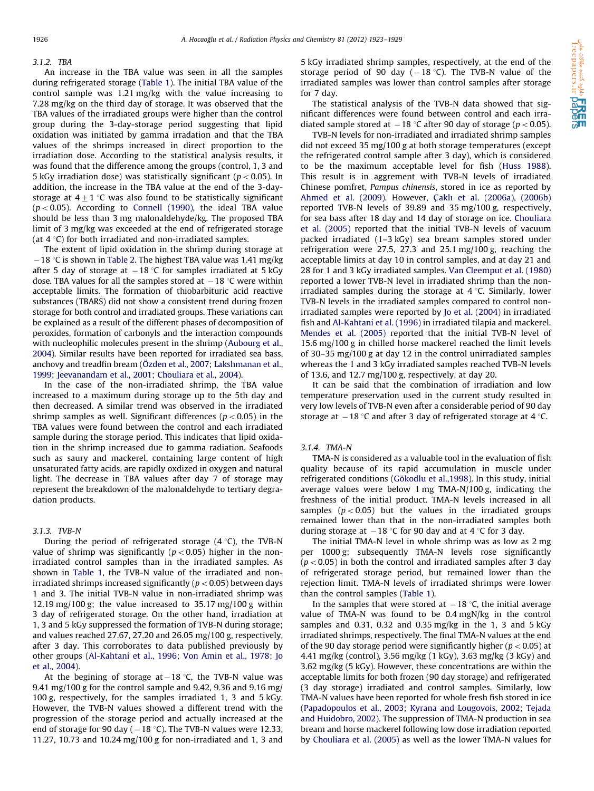#### 3.1.2. TBA

An increase in the TBA value was seen in all the samples during refrigerated storage [\(Table 1](#page-2-0)). The initial TBA value of the control sample was 1.21 mg/kg with the value increasing to 7.28 mg/kg on the third day of storage. It was observed that the TBA values of the irradiated groups were higher than the control group during the 3-day-storage period suggesting that lipid oxidation was initiated by gamma irradation and that the TBA values of the shrimps increased in direct proportion to the irradiation dose. According to the statistical analysis results, it was found that the difference among the groups (control, 1, 3 and 5 kGy irradiation dose) was statistically significant ( $p < 0.05$ ). In addition, the increase in the TBA value at the end of the 3-daystorage at  $4\pm 1$  °C was also found to be statistically significant  $(p < 0.05)$ . According to [Connell \(1990\)](#page-6-0), the ideal TBA value should be less than 3 mg malonaldehyde/kg. The proposed TBA limit of 3 mg/kg was exceeded at the end of refrigerated storage (at  $4^{\circ}$ C) for both irradiated and non-irradiated samples.

The extent of lipid oxidation in the shrimp during storage at  $-18$  °C is shown in [Table 2](#page-2-0). The highest TBA value was 1.41 mg/kg after 5 day of storage at  $-18$  °C for samples irradiated at 5 kGy dose. TBA values for all the samples stored at  $-18$  °C were within acceptable limits. The formation of thiobarbituric acid reactive substances (TBARS) did not show a consistent trend during frozen storage for both control and irradiated groups. These variations can be explained as a result of the different phases of decomposition of peroxides, formation of carbonyls and the interaction compounds with nucleophilic molecules present in the shrimp ([Aubourg et al.,](#page-5-0) [2004\)](#page-5-0). Similar results have been reported for irradiated sea bass, anchovy and treadfin bream (Ö[zden et al., 2007;](#page-6-0) [Lakshmanan et al.,](#page-6-0) [1999;](#page-6-0) [Jeevanandam et al., 2001](#page-6-0); [Chouliara et al., 2004\)](#page-5-0).

In the case of the non-irradiated shrimp, the TBA value increased to a maximum during storage up to the 5th day and then decreased. A similar trend was observed in the irradiated shrimp samples as well. Significant differences ( $p < 0.05$ ) in the TBA values were found between the control and each irradiated sample during the storage period. This indicates that lipid oxidation in the shrimp increased due to gamma radiation. Seafoods such as saury and mackerel, containing large content of high unsaturated fatty acids, are rapidly oxdized in oxygen and natural light. The decrease in TBA values after day 7 of storage may represent the breakdown of the malonaldehyde to tertiary degradation products.

#### 3.1.3. TVB-N

During the period of refrigerated storage  $(4 \degree C)$ , the TVB-N value of shrimp was significantly ( $p < 0.05$ ) higher in the nonirradiated control samples than in the irradiated samples. As shown in [Table 1,](#page-2-0) the TVB-N value of the irradiated and nonirradiated shrimps increased significantly ( $p < 0.05$ ) between days 1 and 3. The initial TVB-N value in non-irradiated shrimp was 12.19 mg/100 g; the value increased to 35.17 mg/100 g within 3 day of refrigerated storage. On the other hand, irradiation at 1, 3 and 5 kGy suppressed the formation of TVB-N during storage; and values reached 27.67, 27.20 and 26.05 mg/100 g, respectively, after 3 day. This corroborates to data published previously by other groups [\(Al-Kahtani et al., 1996](#page-5-0); [Von Amin et al., 1978](#page-6-0); [Jo](#page-6-0) [et al., 2004\)](#page-6-0).

At the begining of storage at $-18$  °C, the TVB-N value was 9.41 mg/100 g for the control sample and 9.42, 9.36 and 9.16 mg/ 100 g, respectively, for the samples irradiated 1, 3 and 5 kGy. However, the TVB-N values showed a different trend with the progression of the storage period and actually increased at the end of storage for 90 day ( $-18$  °C). The TVB-N values were 12.33, 11.27, 10.73 and 10.24 mg/100 g for non-irradiated and 1, 3 and 5 kGy irradiated shrimp samples, respectively, at the end of the storage period of 90 day ( $-18$  °C). The TVB-N value of the irradiated samples was lower than control samples after storage for 7 day.

The statistical analysis of the TVB-N data showed that significant differences were found between control and each irradiated sample stored at  $-18$  °C after 90 day of storage ( $p < 0.05$ ).

TVB-N levels for non-irradiated and irradiated shrimp samples did not exceed 35 mg/100 g at both storage temperatures (except the refrigerated control sample after 3 day), which is considered to be the maximum acceptable level for fish ([Huss 1988\)](#page-6-0). This result is in aggrement with TVB-N levels of irradiated Chinese pomfret, Pampus chinensis, stored in ice as reported by [Ahmed et al. \(2009\)](#page-5-0). However, Ç[aklı et al. \(2006a\),](#page-6-0) [\(2006b\)](#page-6-0) reported TVB-N levels of 39.89 and 35 mg/100 g, respectively, for sea bass after 18 day and 14 day of storage on ice. [Chouliara](#page-5-0) [et al. \(2005\)](#page-5-0) reported that the initial TVB-N levels of vacuum packed irradiated (1–3 kGy) sea bream samples stored under refrigeration were 27.5, 27.3 and 25.1 mg/100 g, reaching the acceptable limits at day 10 in control samples, and at day 21 and 28 for 1 and 3 kGy irradiated samples. [Van Cleemput et al. \(1980\)](#page-6-0) reported a lower TVB-N level in irradiated shrimp than the nonirradiated samples during the storage at  $4^{\circ}$ C. Similarly, lower TVB-N levels in the irradiated samples compared to control nonirradiated samples were reported by [Jo et al. \(2004\)](#page-6-0) in irradiated fish and [Al-Kahtani et al. \(1996\)](#page-5-0) in irradiated tilapia and mackerel. [Mendes et al. \(2005\)](#page-6-0) reported that the initial TVB-N level of 15.6 mg/100 g in chilled horse mackerel reached the limit levels of 30–35 mg/100 g at day 12 in the control unirradiated samples whereas the 1 and 3 kGy irradiated samples reached TVB-N levels of 13.6, and 12.7 mg/100 g, respectively, at day 20.

It can be said that the combination of irradiation and low temperature preservation used in the current study resulted in very low levels of TVB-N even after a considerable period of 90 day storage at  $-18$  °C and after 3 day of refrigerated storage at 4 °C.

#### 3.1.4. TMA-N

TMA-N is considered as a valuable tool in the evaluation of fish quality because of its rapid accumulation in muscle under refrigerated conditions (Gökodlu et al.,1998). In this study, initial average values were below 1 mg TMA-N/100 g, indicating the freshness of the initial product. TMA-N levels increased in all samples ( $p < 0.05$ ) but the values in the irradiated groups remained lower than that in the non-irradiated samples both during storage at  $-18$  °C for 90 day and at 4 °C for 3 day.

The initial TMA-N level in whole shrimp was as low as 2 mg per 1000 g; subsequently TMA-N levels rose significantly  $(p<0.05)$  in both the control and irradiated samples after 3 day of refrigerated storage period, but remained lower than the rejection limit. TMA-N levels of irradiated shrimps were lower than the control samples [\(Table 1](#page-2-0)).

In the samples that were stored at  $-18$  °C, the initial average value of TMA-N was found to be 0.4 mgN/kg in the control samples and  $0.31$ ,  $0.32$  and  $0.35$  mg/kg in the 1, 3 and 5 kGy irradiated shrimps, respectively. The final TMA-N values at the end of the 90 day storage period were significantly higher ( $p < 0.05$ ) at 4.41 mg/kg (control), 3.56 mg/kg (1 kGy), 3.63 mg/kg (3 kGy) and 3.62 mg/kg (5 kGy). However, these concentrations are within the acceptable limits for both frozen (90 day storage) and refrigerated (3 day storage) irradiated and control samples. Similarly, low TMA-N values have been reported for whole fresh fish stored in ice ([Papadopoulos et al., 2003;](#page-6-0) [Kyrana and Lougovois, 2002;](#page-6-0) [Tejada](#page-6-0) [and Huidobro, 2002\)](#page-6-0). The suppression of TMA-N production in sea bream and horse mackerel following low dose irradiation reported by [Chouliara et al. \(2005\)](#page-5-0) as well as the lower TMA-N values for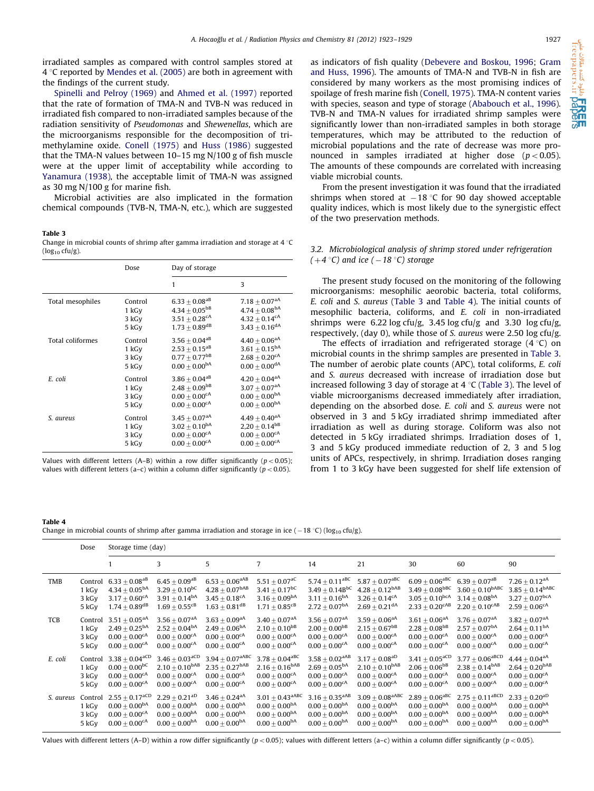<span id="page-4-0"></span>irradiated samples as compared with control samples stored at  $4^{\circ}$ C reported by [Mendes et al. \(2005\)](#page-6-0) are both in agreement with the findings of the current study.

[Spinelli and Pelroy \(1969\)](#page-6-0) and [Ahmed et al. \(1997\)](#page-5-0) reported that the rate of formation of TMA-N and TVB-N was reduced in irradiated fish compared to non-irradiated samples because of the radiation sensitivity of Pseudomonas and Shewenellas, which are the microorganisms responsible for the decomposition of trimethylamine oxide. [Conell \(1975\)](#page-6-0) and [Huss \(1986\)](#page-6-0) suggested that the TMA-N values between 10–15 mg N/100 g of fish muscle were at the upper limit of acceptability while according to [Yanamura \(1938\),](#page-6-0) the acceptable limit of TMA-N was assigned as 30 mg N/100 g for marine fish.

Microbial activities are also implicated in the formation chemical compounds (TVB-N, TMA-N, etc.), which are suggested

#### Table 3

Change in microbial counts of shrimp after gamma irradiation and storage at 4  $\degree$ C  $(log_{10} cfu/g)$ .

|                  | Dose    | Day of storage                |                               |  |  |
|------------------|---------|-------------------------------|-------------------------------|--|--|
|                  |         | 1                             | 3                             |  |  |
| Total mesophiles | Control | $6.33 \pm 0.08^{aB}$          | $7.18 \pm 0.07$ <sup>aA</sup> |  |  |
|                  | 1 kGy   | $4.34 + 0.05^{bB}$            | $4.74 \pm 0.08^{bA}$          |  |  |
|                  | 3 kGy   | $3.51 \pm 0.28$ <sup>cA</sup> | $4.32 + 0.14^{\text{cA}}$     |  |  |
|                  | 5 kGy   | $1.73 \pm 0.89$ <sup>dB</sup> | $3.43 + 0.16$ <sup>dA</sup>   |  |  |
| Total coliformes | Control | $3.56 \pm 0.04^{aB}$          | $4.40 \pm 0.06^{\text{aA}}$   |  |  |
|                  | 1 kGy   | $2.53 \pm 0.15^{aB}$          | $3.61\pm0.15^{\text{bA}}$     |  |  |
|                  | 3 kGy   | $0.77 + 0.77$ <sup>bB</sup>   | $2.68 \pm 0.20$ <sup>cA</sup> |  |  |
|                  | 5 kGy   | $0.00 + 0.00^{bA}$            | $0.00 + 0.00$ <sup>dA</sup>   |  |  |
| E. coli          | Control | $3.86 \pm 0.04^{aB}$          | $4.20 \pm 0.04^{\text{aA}}$   |  |  |
|                  | 1 kGy   | $2.48 \pm 0.09^{bB}$          | $3.07 \pm 0.07$ <sup>aA</sup> |  |  |
|                  | 3 kGy   | $0.00 + 0.00$ <sup>cA</sup>   | $0.00 \pm 0.00^{bA}$          |  |  |
|                  | 5 kGy   | $0.00 + 0.00$ <sup>cA</sup>   | $0.00 \pm 0.00^{bA}$          |  |  |
| S. aureus        | Control | $3.45\pm0.07^{\text{aA}}$     | $4.49 \pm 0.40^{\text{aA}}$   |  |  |
|                  | 1 kGy   | $3.02 \pm 0.10^{bA}$          | $2,20 + 0.14$ <sup>bB</sup>   |  |  |
|                  | 3 kGy   | $0.00 \pm 0.00$ <sup>cA</sup> | $0.00 \pm 0.00$ <sup>cA</sup> |  |  |
|                  | 5 kGy   | $0.00 + 0.00$ <sup>cA</sup>   | $0.00 + 0.00^{cA}$            |  |  |

Values with different letters (A–B) within a row differ significantly ( $p < 0.05$ ); values with different letters (a–c) within a column differ significantly ( $p < 0.05$ ).

as indicators of fish quality ([Debevere and Boskou, 1996](#page-6-0); [Gram](#page-6-0) [and Huss, 1996](#page-6-0)). The amounts of TMA-N and TVB-N in fish are considered by many workers as the most promising indices of spoilage of fresh marine fish ([Conell, 1975\)](#page-6-0). TMA-N content varies with species, season and type of storage ([Ababouch et al., 1996\)](#page-5-0). TVB-N and TMA-N values for irradiated shrimp samples were significantly lower than non-irradiated samples in both storage temperatures, which may be attributed to the reduction of microbial populations and the rate of decrease was more pronounced in samples irradiated at higher dose  $(p < 0.05)$ . The amounts of these compounds are correlated with increasing viable microbial counts.

From the present investigation it was found that the irradiated shrimps when stored at  $-18$  °C for 90 day showed acceptable quality indices, which is most likely due to the synergistic effect of the two preservation methods.

## 3.2. Microbiological analysis of shrimp stored under refrigeration  $(+4\degree C)$  and ice  $(-18\degree C)$  storage

The present study focused on the monitoring of the following microorganisms: mesophilic aeorobic bacteria, total coliforms, E. coli and S. aureus (Table 3 and Table 4). The initial counts of mesophilic bacteria, coliforms, and E. coli in non-irradiated shrimps were 6.22 log cfu/g, 3.45 log cfu/g and 3.30 log cfu/g, respectively, (day 0), while those of S. aureus were 2.50 log cfu/g.

The effects of irradiation and refrigerated storage  $(4 \degree C)$  on microbial counts in the shrimp samples are presented in Table 3. The number of aerobic plate counts (APC), total coliforms, E. coli and S. aureus decreased with increase of irradiation dose but increased following 3 day of storage at 4  $\degree$ C (Table 3). The level of viable microorganisms decreased immediately after irradiation, depending on the absorbed dose. E. coli and S. aureus were not observed in 3 and 5 kGy irradiated shrimp immediated after irradiation as well as during storage. Coliform was also not detected in 5 kGy irradiated shrimps. Irradiation doses of 1, 3 and 5 kGy produced immediate reduction of 2, 3 and 5 log units of APCs, respectively, in shrimp. Irradiation doses ranging from 1 to 3 kGy have been suggested for shelf life extension of

Table 4 Change in microbial counts of shrimp after gamma irradiation and storage in ice ( – 18 °C) (log<sub>10</sub> cfu/g).

|            | Dose    | Storage time (day)             |                                |                               |                              |                              |                                 |                                |                               |                               |
|------------|---------|--------------------------------|--------------------------------|-------------------------------|------------------------------|------------------------------|---------------------------------|--------------------------------|-------------------------------|-------------------------------|
|            |         |                                | 3                              | 5                             | $\overline{7}$               | 14                           | 21                              | 30                             | 60                            | 90                            |
| TMB        | Control | $6.33 + 0.08$ <sup>aB</sup>    | $6.45 + 0.09$ <sup>aB</sup>    | $6.53 + 0.06$ <sup>aAB</sup>  | $5.51 + 0.07$ <sup>aC</sup>  | $5.74 + 0.11$ <sup>aBC</sup> | $5.87 + 0.07$ <sup>aBC</sup>    | $6.09 + 0.06$ <sup>aBC</sup>   | $6.39 + 0.07$ <sup>aB</sup>   | $7.26 + 0.12$ <sup>aA</sup>   |
|            | 1 kGy   | $4.34 + 0.05bA$                | $3.29 + 0.10^{bC}$             | $4.28 \pm 0.07^{\rm bAB}$     | $3.41 + 0.17$ <sup>bC</sup>  | $3.49 \pm 0.14B^{bC}$        | $4.28 + 0.12^{bAB}$             | $3.49\pm0.08^\text{bBC}$       | $3.60 + 0.10^{\text{bABC}}$   | $3.85 + 0.14^{\text{bABC}}$   |
|            | 3 kGy   | $3.17 \pm 0.60$ <sup>cA</sup>  | $3.91 + 0.14bA$                | $3.45 \pm 0.18$ <sup>cA</sup> | $3.16 + 0.09bA$              | $3.11 + 0.16^{bA}$           | $3.26 + 0.14$ <sup>cA</sup>     | $3.05 \pm 0.10^{bca}$          | $3.14 + 0.08$ <sup>bA</sup>   | $3.27 + 0.07$ <sub>bcA</sub>  |
|            | 5 kGy   | $1.74 + 0.89$ <sup>dB</sup>    | $1.69 + 0.55$ <sup>cB</sup>    | $1.63 + 0.81$ <sup>dB</sup>   | $1.71 + 0.85$ <sup>cB</sup>  | $2.72 + 0.07bA$              | $2.69 \pm 0.21$ <sup>dA</sup>   | $2.33 \pm 0.20^{\text{cAB}}$   | $2.20 + 0.10^{cAB}$           | $2.59 \pm 0.06^{\text{cA}}$   |
| <b>TCB</b> | Control | $3.51 + 0.05$ <sup>aA</sup>    | $3.56 + 0.07$ <sup>aA</sup>    | $3.63 + 0.09$ <sup>aA</sup>   | $3.40 + 0.07$ <sup>aA</sup>  | $3.56 + 0.07$ <sup>aA</sup>  | $3.59 + 0.06$ <sup>aA</sup>     | $3.61 + 0.06$ <sup>aA</sup>    | $3.76 + 0.07$ <sup>aA</sup>   | $3.82 + 0.07$ <sup>aA</sup>   |
|            | 1 kGy   | $2.49 + 0.25^{bA}$             | $2.52 + 0.04bA$                | $2.49 + 0.06^{\text{bA}}$     | $2.10 + 0.10^{bB}$           | $2.00 + 0.00$ <sup>bB</sup>  | $2.15 + 0.67$ <sup>bB</sup>     | $2.28 + 0.08$ <sup>bB</sup>    | $2.57 + 0.07bA$               | $2.64 + 0.11bA$               |
|            | 3 kGy   | $0.00 + 0.00$ <sup>cA</sup>    | $0.00 + 0.00^{cA}$             | $0.00 + 0.00$ <sup>cA</sup>   | $0.00 \pm 0.00^{cA}$         | $0.00 + 0.00$ <sup>cA</sup>  | $0.00 + 0.00^{cA}$              | $0.00 \pm 0.00$ <sup>cA</sup>  | $0.00 + 0.00$ <sup>cA</sup>   | $0.00 \pm 0.00$ <sup>cA</sup> |
|            | 5 kGy   | $0.00 + 0.00^{cA}$             | $0.00 + 0.00^{cA}$             | $0.00 + 0.00^{cA}$            | $0.00 \pm 0.00^{\text{cA}}$  | $0.00 + 0.00^{cA}$           | $0.00 \pm 0.00$ <sup>CA</sup>   | $0.00 + 0.00$ <sup>CA</sup>    | $0.00 + 0.00^{cA}$            | $0.00 \pm 0.00$ <sup>CA</sup> |
| E. coli    | Control | $3.38 \pm 0.04$ <sup>aCD</sup> | $3.46 \pm 0.03$ <sup>aCD</sup> | $3.94 + 0.07$ <sup>aABC</sup> | $3.78 + 0.04$ <sup>aBC</sup> | $3.58 + 0.02$ <sup>aAB</sup> | $3.17 + 0.08$ <sup>aD</sup>     | $3.41 \pm 0.05$ <sup>aCD</sup> | $3.77 + 0.06$ <sup>aBCD</sup> | $4.44 + 0.04$ <sup>aA</sup>   |
|            | 1 kGy   | $0.00 \pm 0.00 ^{bc}$          | $2.10\pm0.10^{\mathrm{bAB}}$   | $2.35 + 0.27^{\text{bAB}}$    | $2.16 \pm 0.16^{\text{bAB}}$ | $2.69 \pm 0.05^{\text{bA}}$  | $2.10 + 0.10^{bAB}$             | $2.06\pm0.06^{\mathrm{bB}}$    | $2.38 + 0.14^{\text{bAB}}$    | $2.64 + 0.20^{bAB}$           |
|            | 3 kGy   | $0.00 + 0.00$ <sup>CA</sup>    | $0.00 + 0.00^{cA}$             | $0.00 + 0.00$ <sup>cA</sup>   | $0.00 + 0.00^{cA}$           | $0.00 + 0.00^{cA}$           | $0.00 + 0.00$ <sup>cA</sup>     | $0.00 + 0.00$ <sup>cA</sup>    | $0.00 + 0.00^{cA}$            | $0.00 + 0.00$ <sup>cA</sup>   |
|            | 5 kGy   | $0.00 \pm 0.00$ <sup>cA</sup>  | $0.00 + 0.00$ <sup>cA</sup>    | $0.00 + 0.00$ <sup>cA</sup>   | $0.00 + 0.00$ <sup>cA</sup>  | $0.00 + 0.00$ <sup>cA</sup>  | $0.00 + 0.00$ <sup>cA</sup>     | $0.00 + 0.00$ <sup>cA</sup>    | $0.00 + 0.00$ <sup>cA</sup>   | $0.00 + 0.00$ <sup>cA</sup>   |
| S. aureus  | Control | $2.55 + 0.17^{\text{aCD}}$     | $2.29 + 0.21$ <sup>aD</sup>    | $3.46 + 0.24$ <sup>aA</sup>   | $3.01 \pm 0.43^{\rm aABC}$   | $3.16 + 0.35$ <sup>aAB</sup> | $3.09 \pm 0.08$ <sup>aABC</sup> | $2.89 \pm 0.06^{\mathrm{aBC}}$ | $2.75 + 0.11$ <sup>aBCD</sup> | $2.33 + 0.20$ <sup>aD</sup>   |
|            | 1 kGy   | $0.00 + 0.00BA$                | $0.00 + 0.00^{bA}$             | $0.00 + 0.00BA$               | $0.00 + 0.00bA$              | $0.00 + 0.00bA$              | $0.00 + 0.00bA$                 | $0.00 + 0.00^{bA}$             | $0.00 + 0.00bA$               | $0.00 + 0.00BA$               |
|            | 3 kGy   | $0.00 + 0.00$ <sup>cA</sup>    | $0.00 + 0.00bA$                | $0.00 + 0.00bA$               | $0.00 + 0.00bA$              | $0.00 + 0.00bA$              | $0.00 + 0.00bA$                 | $0.00 + 0.00bA$                | $0.00 + 0.00bA$               | $0.00 + 0.00bA$               |
|            | 5 kGy   | $0.00 \pm 0.00$ <sup>cA</sup>  | $0.00 + 0.00bA$                | $0.00 + 0.00bA$               | $0.00 + 0.00bA$              | $0.00 + 0.00bA$              | $0.00 + 0.00bA$                 | $0.00 \pm 0.00^{bA}$           | $0.00 + 0.00bA$               | $0.00 \pm 0.00^{bA}$          |

Values with different letters (A–D) within a row differ significantly ( $p < 0.05$ ); values with different letters (a–c) within a column differ significantly ( $p < 0.05$ ).

وه کننده مقالات علمی<br>freepapers.

sadit<br>S.II  $\overline{6}$  $\frac{87}{60}$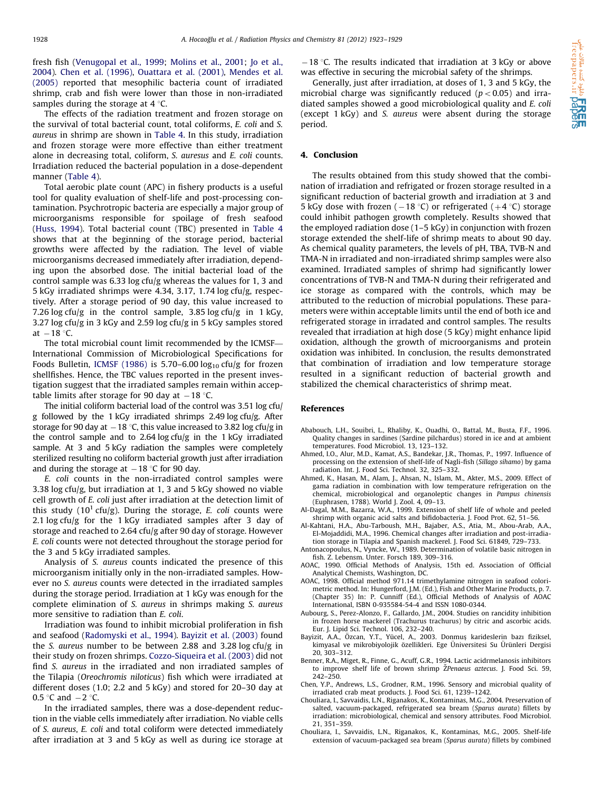<span id="page-5-0"></span>fresh fish ([Venugopal et al., 1999;](#page-6-0) [Molins et al., 2001;](#page-6-0) [Jo et al.,](#page-6-0) [2004\)](#page-6-0). Chen et al. (1996), [Ouattara et al. \(2001\)](#page-6-0), [Mendes et al.](#page-6-0) [\(2005\)](#page-6-0) reported that mesophilic bacteria count of irradiated shrimp, crab and fish were lower than those in non-irradiated samples during the storage at  $4^{\circ}$ C.

The effects of the radiation treatment and frozen storage on the survival of total bacterial count, total coliforms, E. coli and S. aureus in shrimp are shown in [Table 4.](#page-4-0) In this study, irradiation and frozen storage were more effective than either treatment alone in decreasing total, coliform, S. auresus and E. coli counts. Irradiation reduced the bacterial population in a dose-dependent manner [\(Table 4](#page-4-0)).

Total aerobic plate count (APC) in fishery products is a useful tool for quality evaluation of shelf-life and post-processing contamination. Psychrotropic bacteria are especially a major group of microorganisms responsible for spoilage of fresh seafood ([Huss, 1994\)](#page-6-0). Total bacterial count (TBC) presented in [Table 4](#page-4-0) shows that at the beginning of the storage period, bacterial growths were affected by the radiation. The level of viable microorganisms decreased immediately after irradiation, depending upon the absorbed dose. The initial bacterial load of the control sample was 6.33 log cfu/g whereas the values for 1, 3 and 5 kGy irradiated shrimps were 4.34, 3.17, 1.74 log cfu/g, respectively. After a storage period of 90 day, this value increased to 7.26 log cfu/g in the control sample, 3.85 log cfu/g in 1 kGy, 3.27 log cfu/g in 3 kGy and 2.59 log cfu/g in 5 kGy samples stored at  $-18$  °C.

The total microbial count limit recommended by the ICMSF— International Commission of Microbiological Specifications for Foods Bulletin, [ICMSF \(1986\)](#page-6-0) is 5.70-6.00  $log_{10}$  cfu/g for frozen shellfishes. Hence, the TBC values reported in the present investigation suggest that the irradiated samples remain within acceptable limits after storage for 90 day at  $-18$  °C.

The initial coliform bacterial load of the control was 3.51 log cfu/ g followed by the 1 kGy irradiated shrimps 2.49 log cfu/g. After storage for 90 day at  $-18$  °C, this value increased to 3.82 log cfu/g in the control sample and to 2.64 log cfu/g in the 1 kGy irradiated sample. At 3 and 5 kGy radiation the samples were completely sterilized resulting no coliform bacterial growth just after irradiation and during the storage at  $-18$  °C for 90 day.

E. coli counts in the non-irradiated control samples were 3.38 log cfu/g, but irradiation at 1, 3 and 5 kGy showed no viable cell growth of E. coli just after irradiation at the detection limit of this study ( $10<sup>1</sup>$  cfu/g). During the storage, E. coli counts were 2.1 log cfu/g for the 1 kGy irradiated samples after 3 day of storage and reached to 2.64 cfu/g after 90 day of storage. However E. coli counts were not detected throughout the storage period for the 3 and 5 kGy irradiated samples.

Analysis of S. aureus counts indicated the presence of this microorganism initially only in the non-irradiated samples. However no S. aureus counts were detected in the irradiated samples during the storage period. Irradiation at 1 kGy was enough for the complete elimination of S. aureus in shrimps making S. aureus more sensitive to radiation than E. coli.

Irradiation was found to inhibit microbial proliferation in fish and seafood [\(Radomyski et al., 1994\)](#page-6-0). Bayizit et al. (2003) found the S. aureus number to be between 2.88 and 3.28 log cfu/g in their study on frozen shrimps. [Cozzo-Siqueira et al. \(2003\)](#page-6-0) did not find S. aureus in the irradiated and non irradiated samples of the Tilapia (Oreochromis niloticus) fish which were irradiated at different doses (1.0; 2.2 and 5 kGy) and stored for 20–30 day at 0.5  $\degree$ C and  $-2 \degree$ C.

In the irradiated samples, there was a dose-dependent reduction in the viable cells immediately after irradiation. No viable cells of S. aureus, E. coli and total coliform were detected immediately after irradiation at 3 and 5 kGy as well as during ice storage at

 $-18$  °C. The results indicated that irradiation at 3 kGy or above was effective in securing the microbial safety of the shrimps.

Generally, just after irradiation, at doses of 1, 3 and 5 kGy, the microbial charge was significantly reduced ( $p < 0.05$ ) and irradiated samples showed a good microbiological quality and E. coli (except 1 kGy) and S. aureus were absent during the storage period.

## 4. Conclusion

The results obtained from this study showed that the combination of irradiation and refrigated or frozen storage resulted in a significant reduction of bacterial growth and irradiation at 3 and 5 kGy dose with frozen ( $-18$  °C) or refrigerated ( $+4$  °C) storage could inhibit pathogen growth completely. Results showed that the employed radiation dose (1–5 kGy) in conjunction with frozen storage extended the shelf-life of shrimp meats to about 90 day. As chemical quality parameters, the levels of pH, TBA, TVB-N and TMA-N in irradiated and non-irradiated shrimp samples were also examined. Irradiated samples of shrimp had significantly lower concentrations of TVB-N and TMA-N during their refrigerated and ice storage as compared with the controls, which may be attributed to the reduction of microbial populations. These parameters were within acceptable limits until the end of both ice and refrigerated storage in irradated and control samples. The results revealed that irradiation at high dose (5 kGy) might enhance lipid oxidation, although the growth of microorganisms and protein oxidation was inhibited. In conclusion, the results demonstrated that combination of irradiation and low temperature storage resulted in a significant reduction of bacterial growth and stabilized the chemical characteristics of shrimp meat.

#### References

- Ababouch, L.H., Souibri, L., Rhaliby, K., Ouadhi, O., Battal, M., Busta, F.F., 1996. Quality changes in sardines (Sardine pilchardus) stored in ice and at ambient temperatures. Food Microbiol. 13, 123–132.
- Ahmed, I.O., Alur, M.D., Kamat, A.S., Bandekar, J.R., Thomas, P., 1997. Influence of processing on the extension of shelf-life of Nagli-fish (Sillago sihamo) by gama radiation. Int. J. Food Sci. Technol. 32, 325–332.
- Ahmed, K., Hasan, M., Alam, J., Ahsan, N., Islam, M., Akter, M.S., 2009. Effect of gama radiation in combination with low temperature refrigeration on the chemical, microbiological and organoleptic changes in Pampus chinensis (Euphrasen, 1788). World J. Zool. 4, 09–13.
- Al-Dagal, M.M., Bazarra, W.A., 1999. Extension of shelf life of whole and peeled shrimp with organic acid salts and bifidobacteria. J. Food Prot. 62, 51–56.
- Al-Kahtani, H.A., Abu-Tarboush, M.H., Bajaber, A.S., Atia, M., Abou-Arab, A.A., El-Mojaddidi, M.A., 1996. Chemical changes after irradiation and post-irradiation storage in Tilapia and Spanish mackerel. J. Food Sci. 61849, 729–733.
- Antonacopoulus, N., Vyncke, W., 1989. Determination of volatile basic nitrogen in fish. Z. Lebensm. Unter. Forsch 189, 309–316.
- AOAC, 1990. Official Methods of Analysis, 15th ed. Association of Official Analytical Chemists, Washington, DC.
- AOAC, 1998. Official method 971.14 trimethylamine nitrogen in seafood colorimetric method. In: Hungerford, J.M. (Ed.), Fish and Other Marine Products, p. 7. (Chapter 35) In: P. Cunniff (Ed.), Official Methods of Analysis of AOAC International, ISBN 0-935584-54-4 and ISSN 1080-0344.
- Aubourg, S., Perez-Alonzo, F., Gallardo, J.M., 2004. Studies on rancidity inhibition in frozen horse mackerel (Trachurus trachurus) by citric and ascorbic acids. Eur. J. Lipid Sci. Technol. 106, 232–240.
- Bayizit, A.A., Özcan, Y.T., Yücel, A., 2003. Donmuş karideslerin bazı fiziksel, kimyasal ve mikrobiyolojik özellikleri. Ege Üniversitesi Su Ürünleri Dergisi 20, 303–312.
- Benner, R.A., Miget, R., Finne, G., Acuff, G.R., 1994. Lactic acidrmelanosis inhibitors to improve shelf life of brown shrimp ŽPenaeus aztecus. J. Food Sci. 59, 242–250.
- Chen, Y.P., Andrews, L.S., Grodner, R.M., 1996. Sensory and microbial quality of irradiated crab meat products. J. Food Sci. 61, 1239–1242.
- Chouliara, I., Savvaidis, L.N., Riganakos, K., Kontaminas, M.G., 2004. Preservation of salted, vacuum-packaged, refrigerated sea bream (Sparus aurata) fillets by irradiation: microbiological, chemical and sensory attributes. Food Microbiol. 21, 351–359.
- Chouliara, I., Savvaidis, L.N., Riganakos, K., Kontaminas, M.G., 2005. Shelf-life extension of vacuum-packaged sea bream (Sparus aurata) fillets by combined